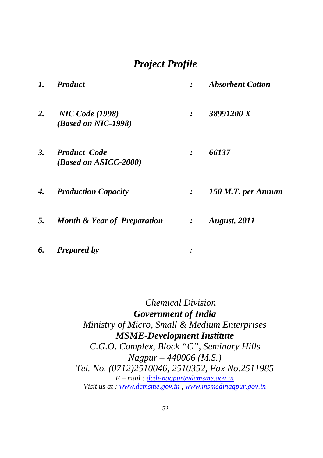# *Project Profile*

| 38991200 X<br>2.<br><b>NIC Code (1998)</b><br>$\cdot$<br>(Based on NIC-1998)         |  |
|--------------------------------------------------------------------------------------|--|
|                                                                                      |  |
| 3.<br>66137<br><b>Product Code</b><br>$\cdot$<br>(Based on ASICC-2000)               |  |
| 150 M.T. per Annum<br><b>Production Capacity</b><br>4.<br>$\mathcal{L}$              |  |
| 5.<br><b>Month &amp; Year of Preparation</b><br><b>August, 2011</b><br>$\mathcal{L}$ |  |

*6. Prepared by :*

 *Chemical Division Government of India Ministry of Micro, Small & Medium Enterprises MSME-Development Institute C.G.O. Complex, Block "C", Seminary Hills Nagpur – 440006 (M.S.) Tel. No. (0712)2510046, 2510352, Fax No.2511985 E – mail : dcdi-nagpur@dcmsme.gov.in Visit us at : www.dcmsme.gov.in , www.msmedinagpur.gov.in*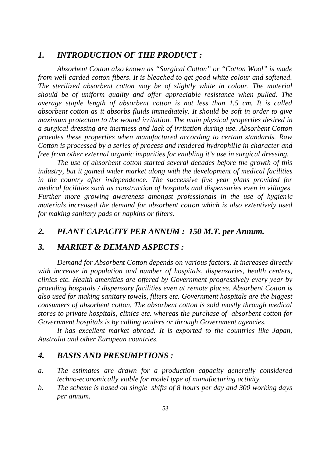## *1. INTRODUCTION OF THE PRODUCT :*

*Absorbent Cotton also known as "Surgical Cotton" or "Cotton Wool" is made from well carded cotton fibers. It is bleached to get good white colour and softened. The sterilized absorbent cotton may be of slightly white in colour. The material should be of uniform quality and offer appreciable resistance when pulled. The average staple length of absorbent cotton is not less than 1.5 cm. It is called absorbent cotton as it absorbs fluids immediately. It should be soft in order to give maximum protection to the wound irritation. The main physical properties desired in a surgical dressing are inertness and lack of irritation during use. Absorbent Cotton provides these properties when manufactured according to certain standards. Raw Cotton is processed by a series of process and rendered hydrophilic in character and free from other external organic impurities for enabling it's use in surgical dressing.*

*The use of absorbent cotton started several decades before the growth of this industry, but it gained wider market along with the development of medical facilities in the country after independence. The successive five year plans provided for medical facilities such as construction of hospitals and dispensaries even in villages. Further more growing awareness amongst professionals in the use of hygienic materials increased the demand for absorbent cotton which is also extentively used for making sanitary pads or napkins or filters.* 

# *2. PLANT CAPACITY PER ANNUM : 150 M.T. per Annum.*

## *3. MARKET & DEMAND ASPECTS :*

*Demand for Absorbent Cotton depends on various factors. It increases directly with increase in population and number of hospitals, dispensaries, health centers, clinics etc. Health amenities are offered by Government progressively every year by providing hospitals / dispensary facilities even at remote places. Absorbent Cotton is also used for making sanitary towels, filters etc. Government hospitals are the biggest consumers of absorbent cotton. The absorbent cotton is sold mostly through medical stores to private hospitals, clinics etc. whereas the purchase of absorbent cotton for Government hospitals is by calling tenders or through Government agencies.*

*It has excellent market abroad. It is exported to the countries like Japan, Australia and other European countries.*

### *4. BASIS AND PRESUMPTIONS :*

- *a. The estimates are drawn for a production capacity generally considered techno-economically viable for model type of manufacturing activity.*
- *b. The scheme is based on single shifts of 8 hours per day and 300 working days per annum.*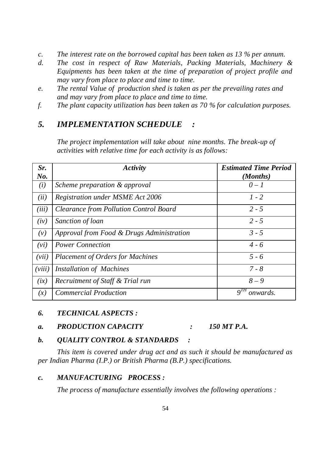- *c. The interest rate on the borrowed capital has been taken as 13 % per annum.*
- *d. The cost in respect of Raw Materials, Packing Materials, Machinery & Equipments has been taken at the time of preparation of project profile and may vary from place to place and time to time.*
- *e. The rental Value of production shed is taken as per the prevailing rates and and may vary from place to place and time to time.*
- *f. The plant capacity utilization has been taken as 70 % for calculation purposes.*

# *5. IMPLEMENTATION SCHEDULE :*

*The project implementation will take about nine months. The break-up of activities with relative time for each activity is as follows:*

| Sr.    | Activity                                      | <b>Estimated Time Period</b> |
|--------|-----------------------------------------------|------------------------------|
| No.    |                                               | (Months)                     |
| (i)    | Scheme preparation & approval                 | $0-1$                        |
| (ii)   | <b>Registration under MSME Act 2006</b>       | $1 - 2$                      |
| (iii)  | <b>Clearance from Pollution Control Board</b> | $2 - 5$                      |
| (iv)   | Sanction of loan                              | $2 - 5$                      |
| (v)    | Approval from Food & Drugs Administration     | $3 - 5$                      |
| (vi)   | <b>Power Connection</b>                       | $4 - 6$                      |
| (vii)  | <b>Placement of Orders for Machines</b>       | $5 - 6$                      |
| (viii) | <b>Installation of Machines</b>               | $7 - 8$                      |
| (ix)   | Recruitment of Staff & Trial run              | $8-9$                        |
| (x)    | <b>Commercial Production</b>                  | onwards                      |

#### *6. TECHNICAL ASPECTS :*

*a. PRODUCTION CAPACITY : 150 MT P.A.*

## *b. QUALITY CONTROL & STANDARDS :*

*This item is covered under drug act and as such it should be manufactured as per Indian Pharma (I.P.) or British Pharma (B.P.) specifications.*

#### *c. MANUFACTURING PROCESS :*

*The process of manufacture essentially involves the following operations :*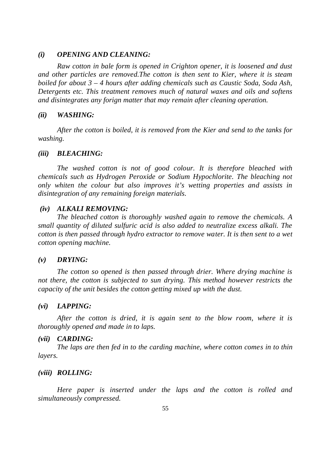#### *(i) OPENING AND CLEANING:*

*Raw cotton in bale form is opened in Crighton opener, it is loosened and dust and other particles are removed.The cotton is then sent to Kier, where it is steam boiled for about 3 – 4 hours after adding chemicals such as Caustic Soda, Soda Ash, Detergents etc. This treatment removes much of natural waxes and oils and softens and disintegrates any forign matter that may remain after cleaning operation.*

#### *(ii) WASHING:*

*After the cotton is boiled, it is removed from the Kier and send to the tanks for washing.*

#### *(iii) BLEACHING:*

*The washed cotton is not of good colour. It is therefore bleached with chemicals such as Hydrogen Peroxide or Sodium Hypochlorite. The bleaching not only whiten the colour but also improves it's wetting properties and assists in disintegration of any remaining foreign materials.*

#### *(iv) ALKALI REMOVING:*

*The bleached cotton is thoroughly washed again to remove the chemicals. A small quantity of diluted sulfuric acid is also added to neutralize excess alkali. The cotton is then passed through hydro extractor to remove water. It is then sent to a wet cotton opening machine.*

#### *(v) DRYING:*

*The cotton so opened is then passed through drier. Where drying machine is not there, the cotton is subjected to sun drying. This method however restricts the capacity of the unit besides the cotton getting mixed up with the dust.*

#### *(vi) LAPPING:*

*After the cotton is dried, it is again sent to the blow room, where it is thoroughly opened and made in to laps.*

#### *(vii) CARDING:*

*The laps are then fed in to the carding machine, where cotton comes in to thin layers.*

#### *(viii) ROLLING:*

*Here paper is inserted under the laps and the cotton is rolled and simultaneously compressed.*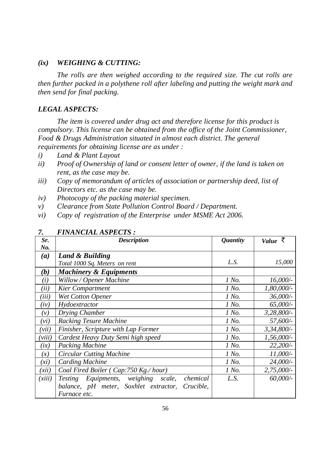### *(ix) WEIGHING & CUTTING:*

*The rolls are then weighed according to the required size. The cut rolls are then further packed in a polythene roll after labeling and putting the weight mark and then send for final packing.*

#### *LEGAL ASPECTS:*

*The item is covered under drug act and therefore license for this product is compulsory. This license can be obtained from the office of the Joint Commissioner, Food & Drugs Administration situated in almost each district. The general requirements for obtaining license are as under :*

- *i) Land & Plant Layout*
- *ii) Proof of Ownership of land or consent letter of owner, if the land is taken on rent, as the case may be.*
- *iii) Copy of memorandum of articles of association or partnership deed, list of Directors etc. as the case may be.*
- *iv) Photocopy of the packing material specimen.*
- *v) Clearance from State Pollution Control Board / Department.*
- *vi) Copy of registration of the Enterprise under MSME Act 2006.*

| Sr.    | <b>Description</b>                                 | <i><b>Quantity</b></i> | Value $\bar{\zeta}$ |
|--------|----------------------------------------------------|------------------------|---------------------|
| No.    |                                                    |                        |                     |
| (a)    | Land & Building                                    |                        |                     |
|        | Total 1000 Sq. Meters on rent                      | L.S.                   | 15,000              |
| (b)    | <b>Machinery &amp; Equipments</b>                  |                        |                     |
| (i)    | Willow / Opener Machine                            | 1 No.                  | 16,000/             |
| (ii)   | <b>Kier Compartment</b>                            | 1 No.                  | $1,80,000/$ -       |
| (iii)  | <b>Wet Cotton Opener</b>                           | 1 No.                  | 36,000/-            |
| (iv)   | Hydoextractor                                      | 1 No.                  | 65,000/             |
| (v)    | Drying Chamber                                     | 1 No.                  | 3,28,800/-          |
| (vi)   | <b>Racking Tesure Machine</b>                      | 1 No.                  | 57,600/-            |
| (vii)  | Finisher, Scripture with Lap Former                | 1 No.                  | $3,34,800/$ -       |
| (viii) | Cardest Heavy Duty Semi high speed                 | 1 No.                  | $1,56,000/-$        |
| (ix)   | <b>Packing Machine</b>                             | 1 No.                  | 22,200/-            |
| (x)    | <b>Circular Cutting Machine</b>                    | 1 No.                  | $11,000/$ -         |
| (xi)   | <b>Carding Machine</b>                             | 1 No.                  | 24,000/-            |
| (xii)  | Coal Fired Boiler (Cap:750 Kg./hour)               | 1 No.                  | 2,75,000/           |
| (xiii) | Testing Equipments, weighing scale,<br>chemical    | L.S.                   | 60,000/-            |
|        | balance, pH meter, Soxhlet extractor,<br>Crucible, |                        |                     |
|        | Furnace etc.                                       |                        |                     |

### *7. FINANCIAL ASPECTS :*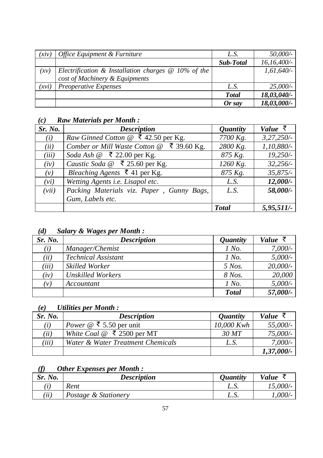| (xiv) | Office Equipment & Furniture                          | L.S.             | 50,000/-     |
|-------|-------------------------------------------------------|------------------|--------------|
|       |                                                       | <b>Sub-Total</b> | 16,16,400/   |
| (xy)  | Electrification & Installation charges $@$ 10% of the |                  | $1,61,640/-$ |
|       | cost of Machinery & Equipments                        |                  |              |
| (xvi) | Preoperative Expenses                                 | L.S.             | 25,000/      |
|       |                                                       | <b>Total</b>     | 18,03,040/-  |
|       |                                                       | $Or$ say         | 18,03,000/-  |

# *(c) Raw Materials per Month :*

| Sr. No. | <b>Description</b>                                 | <i><b>Quantity</b></i> | Value $\bar{z}$ |
|---------|----------------------------------------------------|------------------------|-----------------|
| (i)     | <i>Raw Ginned Cotton</i> $@$ ₹ 42.50 per Kg.       | 7700 Kg.               | 3,27,250/       |
| (ii)    | ₹ 39.60 Kg.<br>Comber or Mill Waste Cotton @       | 2800 Kg.               | 1,10,880/-      |
| (iii)   | Soda Ash $@$ ₹ 22.00 per Kg.                       | 875 Kg.                | $19,250/-$      |
| (iv)    | Caustic Soda $\omega \in \mathbb{Z}$ 25.60 per Kg. | $1260$ Kg.             | 32,256/         |
| (v)     | Bleaching Agents $\bar{\xi}$ 41 per Kg.            | 875 Kg.                | 35,875/         |
| (vi)    | Wetting Agents i.e. Lisapol etc.                   | L.S.                   | $12,000/-$      |
| (vii)   | Packing Materials viz. Paper, Gunny Bags,          | L.S.                   | 58,000/-        |
|         | Gum, Labels etc.                                   |                        |                 |
|         |                                                    | <b>Total</b>           | $5,95,511/-$    |

# *(d) Salary & Wages per Month :*

| Sr. No. | <b>Description</b>         | <i>Quantity</i> | Value       |
|---------|----------------------------|-----------------|-------------|
| (i)     | Manager/Chemist            | 1 No.           | $7,000/$ -  |
| (ii)    | <b>Technical Assistant</b> | 1 No.           | $5,000/$ -  |
| (iii)   | <b>Skilled Worker</b>      | $5$ Nos.        | $20,000/$ - |
| (iv)    | <b>Unskilled Workers</b>   | 8 Nos.          | 20,000      |
| (v)     | Accountant                 | 1 No.           | $5,000/$ -  |
|         |                            | <b>Total</b>    | 57,000/-    |

# *(e) Utilities per Month :*

| Sr. No. | <b>Description</b>                                        | <i><b>Quantity</b></i> | Value $\bar{z}$ |
|---------|-----------------------------------------------------------|------------------------|-----------------|
| (i)     | <i>Power</i> @ ₹ 5.50 per unit                            | 10,000 Kwh             | 55,000/-        |
| (ii)    | White Coal $@ \space \bar{\bar{\mathcal{F}}}$ 2500 per MT | 30MT                   | 75,000/-        |
| (iii)   | Water & Water Treatment Chemicals                         | L.S.                   | 7,000/          |
|         |                                                           |                        | $1,37,000/$ -   |

## *(f) Other Expenses per Month :*

| Sr. No. | <b>Description</b>   | <i>Ouantity</i> | Value     |
|---------|----------------------|-----------------|-----------|
|         | Rent                 | L.v.            | 15,000/   |
| (ii)    | Postage & Stationery | L.v.            | $1,000/-$ |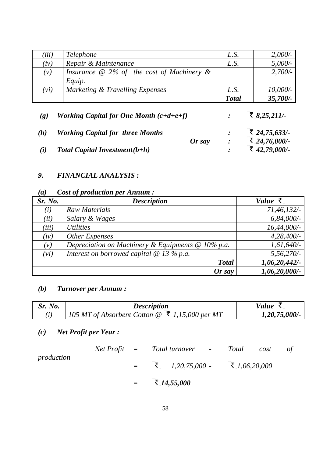| (iii) | <i>Telephone</i>                                           | L.S.         | 2,000/     |
|-------|------------------------------------------------------------|--------------|------------|
| (iv)  | Repair & Maintenance                                       | L.S.         | $5,000/$ - |
| (v)   | Insurance $\omega$ 2% of the cost of Machinery &<br>Equip. |              | $2,700/-$  |
| (vi)  | Marketing & Travelling Expenses                            | L.S.         | 10,000/    |
|       |                                                            | <b>Total</b> | 35,700/-   |

| $\left( \varrho \right)$ | Working Capital for One Month $(c+d+e+f)$ |        | ₹ 8,25,211/-  |
|--------------------------|-------------------------------------------|--------|---------------|
| (h)                      | <b>Working Capital for three Months</b>   |        | ₹ 24,75,633/- |
|                          |                                           | Or say | ₹ 24,76,000/- |
| (i)                      | Total Capital Investment $(b+h)$          |        | ₹ 42,79,000/- |

# *9. FINANCIAL ANALYSIS :*

# *(a) Cost of production per Annum :*

| Sr. No. | <b>Description</b>                                           | Value $\bar{\zeta}$ |
|---------|--------------------------------------------------------------|---------------------|
| (i)     | <b>Raw Materials</b>                                         | 71,46,132/          |
| (ii)    | Salary & Wages                                               | $6,84,000/$ -       |
| (iii)   | <i>Utilities</i>                                             | $16,44,000/$ -      |
| (iv)    | Other Expenses                                               | 4,28,400/           |
| (v)     | Depreciation on Machinery & Equipments $\mathcal Q$ 10% p.a. | $1,61,640/-$        |
| (vi)    | Interest on borrowed capital $\omega$ 13 % p.a.              | 5,56,270/           |
|         | <b>Total</b>                                                 | 1,06,20,442/        |
|         | $Or$ say                                                     | $1,06,20,000/$ -    |

# *(b) Turnover per Annum :*

| <i>Sr. No.</i> | <b>Description</b>                                                           | Value            |
|----------------|------------------------------------------------------------------------------|------------------|
|                | 105 MT of Absorbent Cotton $\mathcal{Q}$ $\bar{\mathcal{M}}$ 1,15,000 per MT | $1,20,75,000/$ - |

# *(c) Net Profit per Year :*

|            |  | $Net Profit = Total turnover - Total$ | cost | of |
|------------|--|---------------------------------------|------|----|
| production |  | $=$ ₹ 1,20,75,000 - ₹ 1,06,20,000     |      |    |
|            |  | $=$ $\frac{14,55,000}{5}$             |      |    |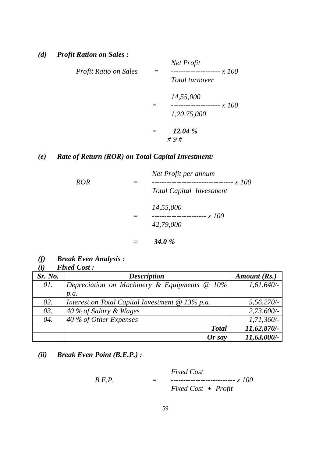| Profit Ratio on Sales | Ξ | Net Profit<br>Total turnover                           |
|-----------------------|---|--------------------------------------------------------|
|                       |   | 14,55,000<br>x 100<br>-----------------<br>1,20,75,000 |
|                       |   | 12.04 %<br>#9#                                         |

# *(e) Rate of Return (ROR) on Total Capital Investment:*

| <b>ROR</b> | Net Profit per annum<br><i>x</i> 100<br>-------------------------------<br><b>Total Capital Investment</b> |
|------------|------------------------------------------------------------------------------------------------------------|
|            | 14,55,000<br>42,79,000                                                                                     |
|            | <b>34.0</b> %                                                                                              |

*(f) Break Even Analysis :*

|         | <b>Fixed Cost:</b>      |     |
|---------|-------------------------|-----|
| Sr. No. |                         | Des |
|         | Depressiption on Machin |     |

| Sr. No. | <b>Description</b>                                     | Amount (Rs.)   |
|---------|--------------------------------------------------------|----------------|
| 01.     | Depreciation on Machinery & Equipments @ 10%           | $1,61,640/-$   |
|         | p.a.                                                   |                |
| 02.     | Interest on Total Capital Investment $\omega$ 13% p.a. | 5,56,270/      |
| 03.     | 40 % of Salary & Wages                                 | 2,73,600/      |
| 04.     | 40 % of Other Expenses                                 | $1,71,360/-$   |
|         | <b>Total</b>                                           | $11,62,870/$ - |
|         | Or say                                                 | 11,63,000/-    |

*(ii) Break Even Point (B.E.P.) :*

$$
B.E.P. = \n\begin{aligned}\n\text{Fixed Cost} \\
\text{Fixed Cost} + \text{Profit}\n\end{aligned}
$$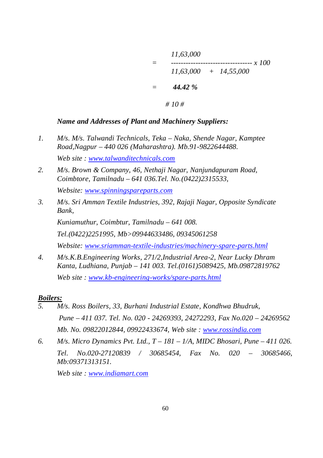*11,63,000 = --------------------------------- x 100 11,63,000 + 14,55,000 = 44.42 % # 10 #*

## *Name and Addresses of Plant and Machinery Suppliers:*

- *1. M/s. M/s. Talwandi Technicals, Teka – Naka, Shende Nagar, Kamptee Road,Nagpur – 440 026 (Maharashtra). Mb.91-9822644488. Web site : www.talwanditechnicals.com*
- *2. M/s. Brown & Company, 46, Nethaji Nagar, Nanjundapuram Road, Coimbtore, Tamilnadu – 641 036.Tel. No.(0422)2315533, Website: www.spinningspareparts.com*
- *3. M/s. Sri Amman Textile Industries, 392, Rajaji Nagar, Opposite Syndicate Bank,*

*Kuniamuthur, Coimbtur, Tamilnadu – 641 008. Tel.(0422)2251995, Mb>09944633486, 09345061258*

*Website: www.sriamman-textile-industries/machinery-spare-parts.html* 

*4. M/s.K.B.Engineering Works, 271/2,Industrial Area-2, Near Lucky Dhram Kanta, Ludhiana, Punjab – 141 003. Tel.(0161)5089425, Mb.09872819762 Web site : www.kb-engineering-works/spare-parts.html*

#### *Boilers:*

- *5. M/s. Ross Boilers, 33, Burhani Industrial Estate, Kondhwa Bhudruk, Pune – 411 037. Tel. No. 020 - 24269393, 24272293, Fax No.020 – 24269562 Mb. No. 09822012844, 09922433674, Web site : www.rossindia.com*
- *6. M/s. Micro Dynamics Pvt. Ltd., T – 181 – 1/A, MIDC Bhosari, Pune – 411 026. Tel. No.020-27120839 / 30685454, Fax No. 020 – 30685466, Mb:09371313151.*

*Web site : www.indiamart.com*